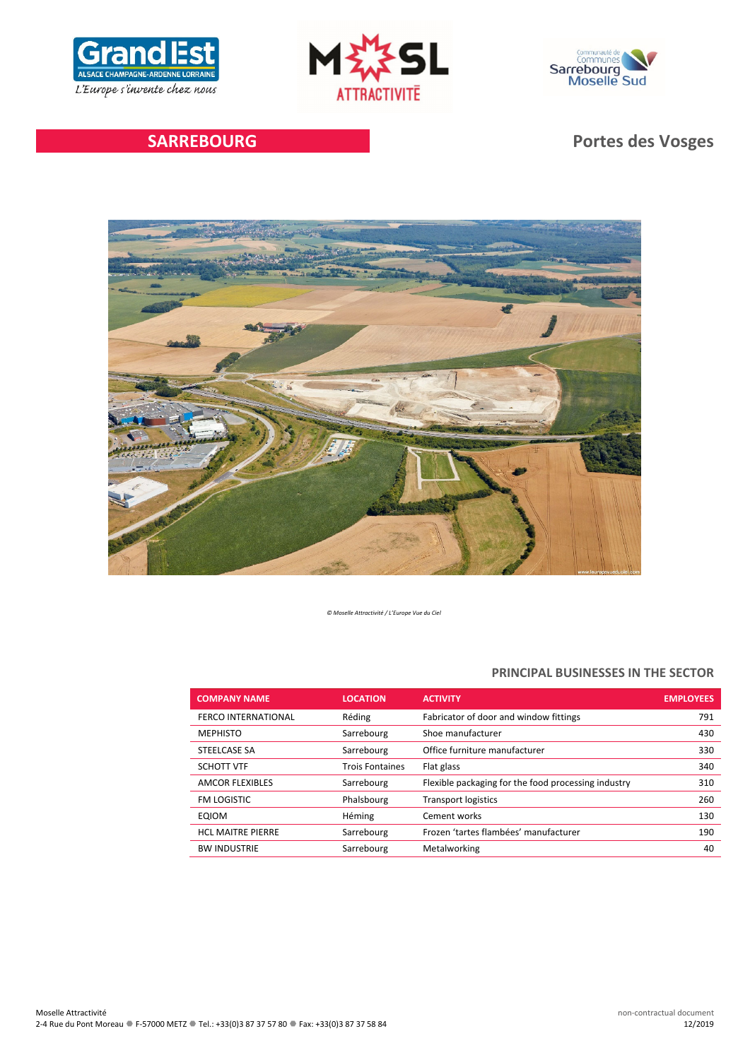





# **SARREBOURG Portes des Vosges**



*© Moselle Attractivité / L'Europe Vue du Ciel*

# **PRINCIPAL BUSINESSES IN THE SECTOR**

| <b>COMPANY NAME</b>        | <b>LOCATION</b>        | <b>ACTIVITY</b>                                     | <b>EMPLOYEES</b> |
|----------------------------|------------------------|-----------------------------------------------------|------------------|
| <b>FERCO INTERNATIONAL</b> | Réding                 | Fabricator of door and window fittings              | 791              |
| <b>MEPHISTO</b>            | Sarrebourg             | Shoe manufacturer                                   | 430              |
| STEELCASE SA               | Sarrebourg             | Office furniture manufacturer                       | 330              |
| <b>SCHOTT VTF</b>          | <b>Trois Fontaines</b> | Flat glass                                          | 340              |
| <b>AMCOR FLEXIBLES</b>     | Sarrebourg             | Flexible packaging for the food processing industry | 310              |
| FM LOGISTIC                | Phalsbourg             | <b>Transport logistics</b>                          | 260              |
| EQIOM                      | Héming                 | Cement works                                        | 130              |
| <b>HCL MAITRE PIERRE</b>   | Sarrebourg             | Frozen 'tartes flambées' manufacturer               | 190              |
| <b>BW INDUSTRIE</b>        | Sarrebourg             | Metalworking                                        | 40               |